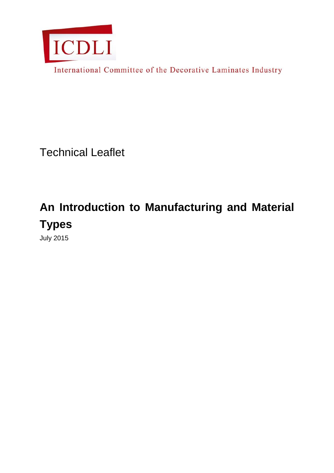

International Committee of the Decorative Laminates Industry

Technical Leaflet

# **An Introduction to Manufacturing and Material Types**

July 2015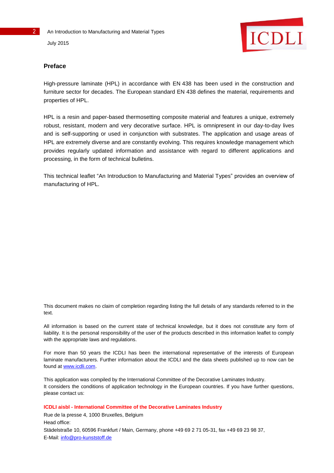

# **Preface**

High-pressure laminate (HPL) in accordance with EN 438 has been used in the construction and furniture sector for decades. The European standard EN 438 defines the material, requirements and properties of HPL.

HPL is a resin and paper-based thermosetting composite material and features a unique, extremely robust, resistant, modern and very decorative surface. HPL is omnipresent in our day-to-day lives and is self-supporting or used in conjunction with substrates. The application and usage areas of HPL are extremely diverse and are constantly evolving. This requires knowledge management which provides regularly updated information and assistance with regard to different applications and processing, in the form of technical bulletins.

This technical leaflet "An Introduction to Manufacturing and Material Types" provides an overview of manufacturing of HPL.

This document makes no claim of completion regarding listing the full details of any standards referred to in the text.

All information is based on the current state of technical knowledge, but it does not constitute any form of liability. It is the personal responsibility of the user of the products described in this information leaflet to comply with the appropriate laws and regulations.

For more than 50 years the ICDLI has been the international representative of the interests of European laminate manufacturers. Further information about the ICDLI and the data sheets published up to now can be found at [www.icdli.com.](http://www.icdli.com/)

This application was compiled by the International Committee of the Decorative Laminates Industry. It considers the conditions of application technology in the European countries. If you have further questions, please contact us:

**ICDLI aisbl - International Committee of the Decorative Laminates Industry**

Rue de la presse 4, 1000 Bruxelles, Belgium Head office: Städelstraße 10, 60596 Frankfurt / Main, Germany, phone +49 69 2 71 05-31, fax +49 69 23 98 37, E-Mail: [info@pro-kunststoff.de](mailto:info@pro-kunststoff.de)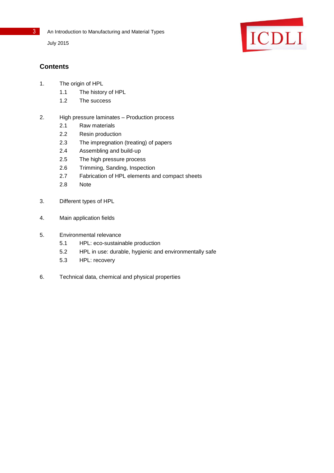

July 2015



# **Contents**

- 1. The origin of HPL
	- 1.1 The history of HPL
	- 1.2 The success
- 2. High pressure laminates Production process
	- 2.1 Raw materials
	- 2.2 Resin production
	- 2.3 The impregnation (treating) of papers
	- 2.4 Assembling and build-up
	- 2.5 The high pressure process
	- 2.6 Trimming, Sanding, Inspection
	- 2.7 Fabrication of HPL elements and compact sheets
	- 2.8 Note
- 3. Different types of HPL
- 4. Main application fields
- 5. Environmental relevance
	- 5.1 HPL: eco-sustainable production
	- 5.2 HPL in use: durable, hygienic and environmentally safe
	- 5.3 HPL: recovery
- 6. Technical data, chemical and physical properties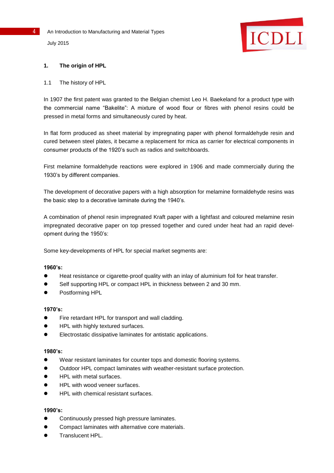

# **1. The origin of HPL**

#### 1.1 The history of HPL

In 1907 the first patent was granted to the Belgian chemist Leo H. Baekeland for a product type with the commercial name "Bakelite": A mixture of wood flour or fibres with phenol resins could be pressed in metal forms and simultaneously cured by heat.

In flat form produced as sheet material by impregnating paper with phenol formaldehyde resin and cured between steel plates, it became a replacement for mica as carrier for electrical components in consumer products of the 1920's such as radios and switchboards.

First melamine formaldehyde reactions were explored in 1906 and made commercially during the 1930's by different companies.

The development of decorative papers with a high absorption for melamine formaldehyde resins was the basic step to a decorative laminate during the 1940's.

A combination of phenol resin impregnated Kraft paper with a lightfast and coloured melamine resin impregnated decorative paper on top pressed together and cured under heat had an rapid development during the 1950's:

Some key-developments of HPL for special market segments are:

#### **1960's:**

- Heat resistance or cigarette-proof quality with an inlay of aluminium foil for heat transfer.
- Self supporting HPL or compact HPL in thickness between 2 and 30 mm.
- Postforming HPL

#### **1970's:**

- Fire retardant HPL for transport and wall cladding.
- HPL with highly textured surfaces.
- Electrostatic dissipative laminates for antistatic applications.

#### **1980's:**

- Wear resistant laminates for counter tops and domestic flooring systems.
- Outdoor HPL compact laminates with weather-resistant surface protection.
- HPL with metal surfaces.
- HPL with wood veneer surfaces.
- HPL with chemical resistant surfaces.

#### **1990's:**

- Continuously pressed high pressure laminates.
- Compact laminates with alternative core materials.
- Translucent HPL.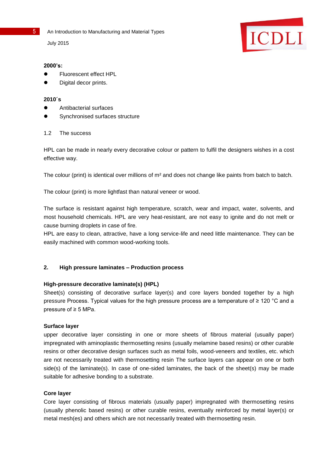July 2015

# ICDLI

#### **2000's:**

- **•** Fluorescent effect HPL
- Digital decor prints.

#### **2010´s**

- Antibacterial surfaces
- Synchronised surfaces structure

# 1.2 The success

HPL can be made in nearly every decorative colour or pattern to fulfil the designers wishes in a cost effective way.

The colour (print) is identical over millions of m<sup>2</sup> and does not change like paints from batch to batch.

The colour (print) is more lightfast than natural veneer or wood.

The surface is resistant against high temperature, scratch, wear and impact, water, solvents, and most household chemicals. HPL are very heat-resistant, are not easy to ignite and do not melt or cause burning droplets in case of fire.

HPL are easy to clean, attractive, have a long service-life and need little maintenance. They can be easily machined with common wood-working tools.

# **2. High pressure laminates – Production process**

# **High-pressure decorative laminate(s) (HPL)**

Sheet(s) consisting of decorative surface layer(s) and core layers bonded together by a high pressure Process. Typical values for the high pressure process are a temperature of ≥ 120 °C and a pressure of ≥ 5 MPa.

# **Surface layer**

upper decorative layer consisting in one or more sheets of fibrous material (usually paper) impregnated with aminoplastic thermosetting resins (usually melamine based resins) or other curable resins or other decorative design surfaces such as metal foils, wood-veneers and textiles, etc. which are not necessarily treated with thermosetting resin The surface layers can appear on one or both side(s) of the laminate(s). In case of one-sided laminates, the back of the sheet(s) may be made suitable for adhesive bonding to a substrate.

# **Core layer**

Core layer consisting of fibrous materials (usually paper) impregnated with thermosetting resins (usually phenolic based resins) or other curable resins, eventually reinforced by metal layer(s) or metal mesh(es) and others which are not necessarily treated with thermosetting resin.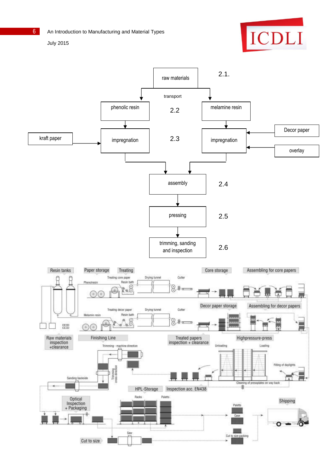

July 2015

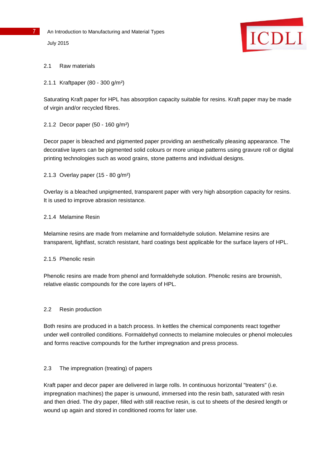

# 2.1 Raw materials

2.1.1 Kraftpaper (80 - 300 g/m²)

Saturating Kraft paper for HPL has absorption capacity suitable for resins. Kraft paper may be made of virgin and/or recycled fibres.

2.1.2 Decor paper (50 - 160 g/m²)

Decor paper is bleached and pigmented paper providing an aesthetically pleasing appearance. The decorative layers can be pigmented solid colours or more unique patterns using gravure roll or digital printing technologies such as wood grains, stone patterns and individual designs.

2.1.3 Overlay paper (15 - 80 g/m²)

Overlay is a bleached unpigmented, transparent paper with very high absorption capacity for resins. It is used to improve abrasion resistance.

#### 2.1.4 Melamine Resin

Melamine resins are made from melamine and formaldehyde solution. Melamine resins are transparent, lightfast, scratch resistant, hard coatings best applicable for the surface layers of HPL.

2.1.5 Phenolic resin

Phenolic resins are made from phenol and formaldehyde solution. Phenolic resins are brownish, relative elastic compounds for the core layers of HPL.

#### 2.2 Resin production

Both resins are produced in a batch process. In kettles the chemical components react together under well controlled conditions. Formaldehyd connects to melamine molecules or phenol molecules and forms reactive compounds for the further impregnation and press process.

# 2.3 The impregnation (treating) of papers

Kraft paper and decor paper are delivered in large rolls. In continuous horizontal "treaters" (i.e. impregnation machines) the paper is unwound, immersed into the resin bath, saturated with resin and then dried. The dry paper, filled with still reactive resin, is cut to sheets of the desired length or wound up again and stored in conditioned rooms for later use.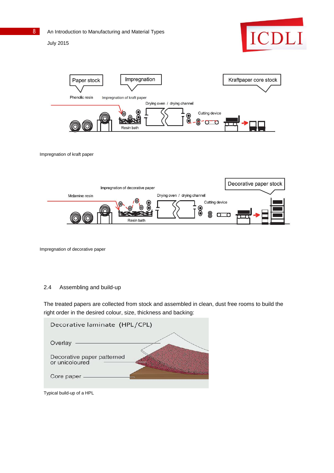July 2015





Impregnation of kraft paper



Impregnation of decorative paper

#### 2.4 Assembling and build-up

The treated papers are collected from stock and assembled in clean, dust free rooms to build the right order in the desired colour, size, thickness and backing:

| Decorative laminate (HPL/CPL)                |  |
|----------------------------------------------|--|
| Overlay                                      |  |
| Decorative paper patterned<br>or unicoloured |  |
| Core paper -                                 |  |

Typical build-up of a HPL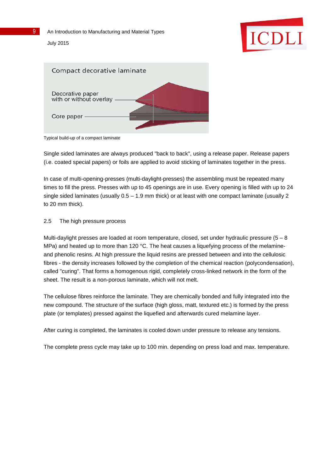



Typical build-up of a compact laminate

Single sided laminates are always produced "back to back", using a release paper. Release papers (i.e. coated special papers) or foils are applied to avoid sticking of laminates together in the press.

In case of multi-opening-presses (multi-daylight-presses) the assembling must be repeated many times to fill the press. Presses with up to 45 openings are in use. Every opening is filled with up to 24 single sided laminates (usually 0.5 – 1.9 mm thick) or at least with one compact laminate (usually 2 to 20 mm thick).

# 2.5 The high pressure process

Multi-daylight presses are loaded at room temperature, closed, set under hydraulic pressure (5 – 8 MPa) and heated up to more than 120 °C. The heat causes a liquefying process of the melamineand phenolic resins. At high pressure the liquid resins are pressed between and into the cellulosic fibres - the density increases followed by the completion of the chemical reaction (polycondensation), called "curing". That forms a homogenous rigid, completely cross-linked network in the form of the sheet. The result is a non-porous laminate, which will not melt.

The cellulose fibres reinforce the laminate. They are chemically bonded and fully integrated into the new compound. The structure of the surface (high gloss, matt, textured etc.) is formed by the press plate (or templates) pressed against the liquefied and afterwards cured melamine layer.

After curing is completed, the laminates is cooled down under pressure to release any tensions.

The complete press cycle may take up to 100 min. depending on press load and max. temperature.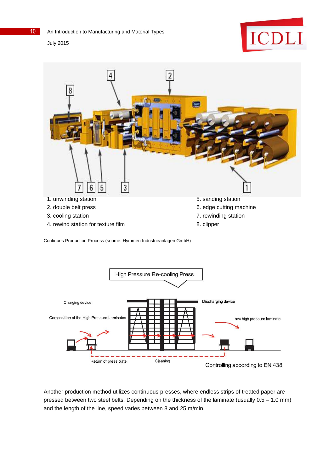July 2015





Continues Production Process (source: Hymmen Industrieanlagen GmbH)



Another production method utilizes continuous presses, where endless strips of treated paper are pressed between two steel belts. Depending on the thickness of the laminate (usually 0.5 – 1.0 mm) and the length of the line, speed varies between 8 and 25 m/min.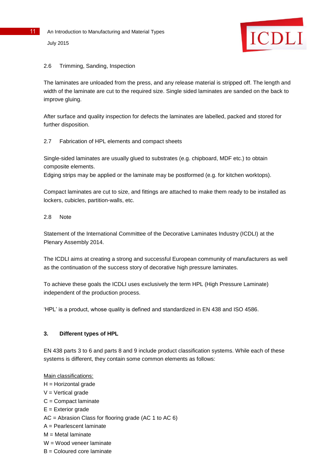

#### 2.6 Trimming, Sanding, Inspection

The laminates are unloaded from the press, and any release material is stripped off. The length and width of the laminate are cut to the required size. Single sided laminates are sanded on the back to improve gluing.

After surface and quality inspection for defects the laminates are labelled, packed and stored for further disposition.

2.7 Fabrication of HPL elements and compact sheets

Single-sided laminates are usually glued to substrates (e.g. chipboard, MDF etc.) to obtain composite elements.

Edging strips may be applied or the laminate may be postformed (e.g. for kitchen worktops).

Compact laminates are cut to size, and fittings are attached to make them ready to be installed as lockers, cubicles, partition-walls, etc.

#### 2.8 Note

Statement of the International Committee of the Decorative Laminates Industry (ICDLI) at the Plenary Assembly 2014.

The ICDLI aims at creating a strong and successful European community of manufacturers as well as the continuation of the success story of decorative high pressure laminates.

To achieve these goals the ICDLI uses exclusively the term HPL (High Pressure Laminate) independent of the production process.

'HPL' is a product, whose quality is defined and standardized in EN 438 and ISO 4586.

# **3. Different types of HPL**

EN 438 parts 3 to 6 and parts 8 and 9 include product classification systems. While each of these systems is different, they contain some common elements as follows:

#### Main classifications:

- $H =$  Horizontal grade
- $V = V$ ertical grade
- C = Compact laminate
- $E =$  Exterior grade
- AC = Abrasion Class for flooring grade (AC 1 to AC 6)
- A = Pearlescent laminate
- $M =$  Metal laminate
- W = Wood veneer laminate
- $B =$  Coloured core laminate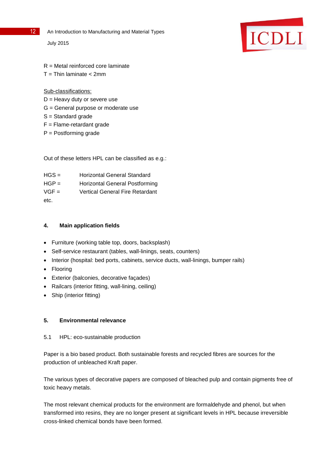- 
- 12 An Introduction to Manufacturing and Material Types

July 2015



- R = Metal reinforced core laminate
- $T = Thin$  laminate  $<$  2mm

Sub-classifications:

- $D =$  Heavy duty or severe use
- G = General purpose or moderate use
- S = Standard grade
- $F =$  Flame-retardant grade
- P = Postforming grade

Out of these letters HPL can be classified as e.g.:

| $HGS =$ | Horizontal General Standard     |
|---------|---------------------------------|
| $HGP =$ | Horizontal General Postforming  |
| $VGF =$ | Vertical General Fire Retardant |
| etc.    |                                 |

# **4. Main application fields**

- Furniture (working table top, doors, backsplash)
- Self-service restaurant (tables, wall-linings, seats, counters)
- Interior (hospital: bed ports, cabinets, service ducts, wall-linings, bumper rails)
- Flooring
- Exterior (balconies, decorative façades)
- Railcars (interior fitting, wall-lining, ceiling)
- Ship (interior fitting)

# **5. Environmental relevance**

5.1 HPL: eco-sustainable production

Paper is a bio based product. Both sustainable forests and recycled fibres are sources for the production of unbleached Kraft paper.

The various types of decorative papers are composed of bleached pulp and contain pigments free of toxic heavy metals.

The most relevant chemical products for the environment are formaldehyde and phenol, but when transformed into resins, they are no longer present at significant levels in HPL because irreversible cross-linked chemical bonds have been formed.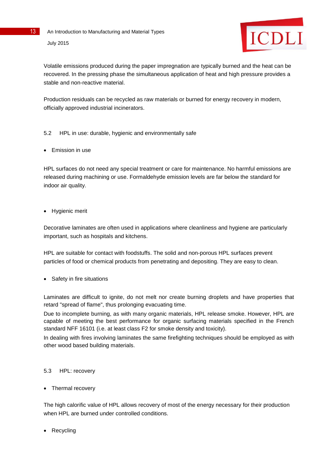

Volatile emissions produced during the paper impregnation are typically burned and the heat can be recovered. In the pressing phase the simultaneous application of heat and high pressure provides a stable and non-reactive material.

Production residuals can be recycled as raw materials or burned for energy recovery in modern, officially approved industrial incinerators.

# 5.2 HPL in use: durable, hygienic and environmentally safe

Emission in use

HPL surfaces do not need any special treatment or care for maintenance. No harmful emissions are released during machining or use. Formaldehyde emission levels are far below the standard for indoor air quality.

• Hygienic merit

Decorative laminates are often used in applications where cleanliness and hygiene are particularly important, such as hospitals and kitchens.

HPL are suitable for contact with foodstuffs. The solid and non-porous HPL surfaces prevent particles of food or chemical products from penetrating and depositing. They are easy to clean.

• Safety in fire situations

Laminates are difficult to ignite, do not melt nor create burning droplets and have properties that retard "spread of flame", thus prolonging evacuating time.

Due to incomplete burning, as with many organic materials, HPL release smoke. However, HPL are capable of meeting the best performance for organic surfacing materials specified in the French standard NFF 16101 (i.e. at least class F2 for smoke density and toxicity).

In dealing with fires involving laminates the same firefighting techniques should be employed as with other wood based building materials.

# 5.3 HPL: recovery

• Thermal recovery

The high calorific value of HPL allows recovery of most of the energy necessary for their production when HPL are burned under controlled conditions.

Recycling